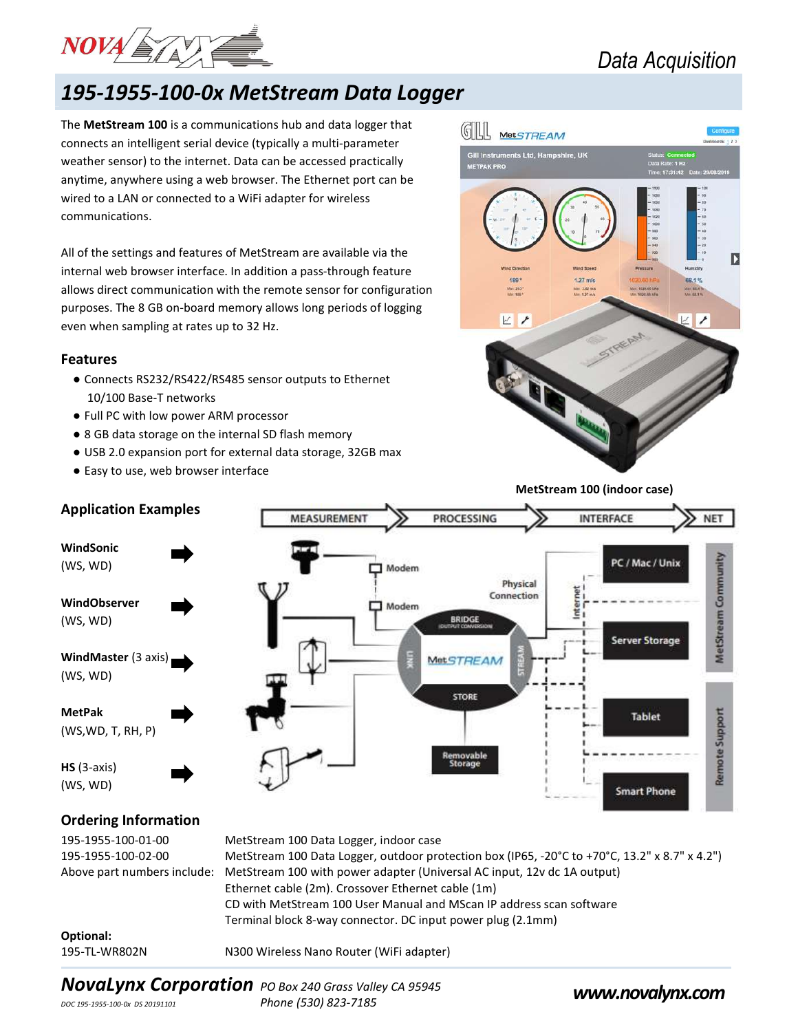

# 195-1955-100-0x MetStream Data Logger

The MetStream 100 is a communications hub and data logger that connects an intelligent serial device (typically a multi-parameter weather sensor) to the internet. Data can be accessed practically anytime, anywhere using a web browser. The Ethernet port can be wired to a LAN or connected to a WiFi adapter for wireless communications.

All of the settings and features of MetStream are available via the internal web browser interface. In addition a pass-through feature allows direct communication with the remote sensor for configuration purposes. The 8 GB on-board memory allows long periods of logging even when sampling at rates up to 32 Hz.

#### Features

- Connects RS232/RS422/RS485 sensor outputs to Ethernet 10/100 Base-T networks
- Full PC with low power ARM processor
- 8 GB data storage on the internal SD flash memory
- USB 2.0 expansion port for external data storage, 32GB max
- Easy to use, web browser interface



MetStream 100 (indoor case)



| 195-1955-100-01-00 | MetStream 100 Data Logger, indoor case                                                              |
|--------------------|-----------------------------------------------------------------------------------------------------|
| 195-1955-100-02-00 | MetStream 100 Data Logger, outdoor protection box (IP65, -20°C to +70°C, 13.2" x 8.7" x 4.2")       |
|                    | Above part numbers include: MetStream 100 with power adapter (Universal AC input, 12y dc 1A output) |
|                    | Ethernet cable (2m). Crossover Ethernet cable (1m)                                                  |
|                    | CD with MetStream 100 User Manual and MScan IP address scan software                                |
|                    | Terminal block 8-way connector. DC input power plug (2.1mm)                                         |

## Optional:

195-TL-WR802N N300 Wireless Nano Router (WiFi adapter)

# NovaLynx Corporation PO Box 240 Grass Valley CA 95945<br>
Phone (530) 823-7185<br>
Phone (530) 823-7185